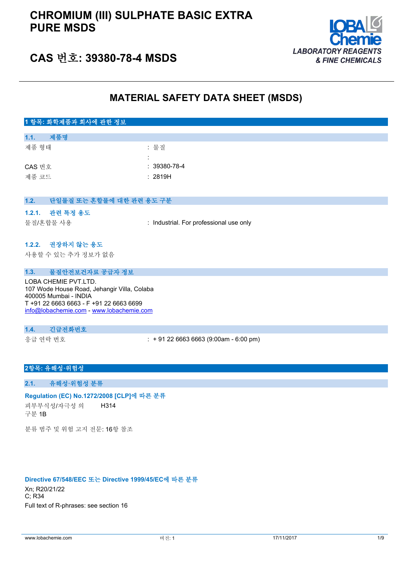

## **CAS 번호: 39380-78-4 MSDS**

## **MATERIAL SAFETY DATA SHEET (MSDS)**

## **1 항목: 화학제품과 회사에 관한 정보 1.1. 제품명** 제품 형태 : 기대 : 기대 : 물질 : CAS 번호 : 39380-78-4 제품 코드 THE TELESTIC APPEAR TO THE 2819H **1.2. 단일물질 또는 혼합물에 대한 관련 용도 구분 1.2.1. 관련 특정 용도** 물질/혼합물 사용 : Industrial. For professional use only **1.2.2. 권장하지 않는 용도** 사용할 수 있는 추가 정보가 없음 **1.3. 물질안전보건자료 공급자 정보** LOBA CHEMIE PVT.LTD. 107 Wode House Road, Jehangir Villa, Colaba 400005 Mumbai - INDIA T +91 22 6663 6663 - F +91 22 6663 6699 [info@lobachemie.com](mailto:info@lobachemie.com) - <www.lobachemie.com> **1.4. 긴급전화번호** 응급 연락 번호 : + 91 22 6663 6663 (9:00am - 6:00 pm)

#### **2항목: 유해성·위험성**

#### **2.1. 유해성·위험성 분류**

#### **Regulation (EC) No.1272/2008 [CLP]에 따른 분류**

피부부식성/자극성 의 구분 1B H314

분류 범주 및 위험 고지 전문: 16항 참조

#### **Directive 67/548/EEC 또는 Directive 1999/45/EC에 따른 분류**

Xn; R20/21/22 C; R34 Full text of R-phrases: see section 16

www.lobachemie.com 머전: 1 버전: 1 1/11/2017 1/9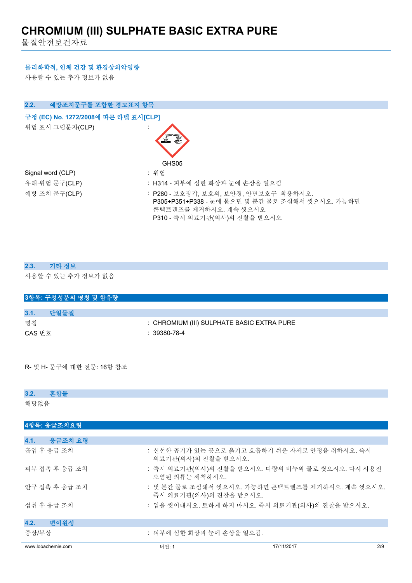물질안전보건자료

#### **물리화학적, 인체 건강 및 환경상의악영향**

사용할 수 있는 추가 정보가 없음

| 예방조치문구를 포함한 경고표지 항목<br>2.2.          |                                                                                                                                                   |
|--------------------------------------|---------------------------------------------------------------------------------------------------------------------------------------------------|
| 규정 (EC) No. 1272/2008에 따른 라벨 표시[CLP] |                                                                                                                                                   |
| 위험 표시 그림문자(CLP)                      |                                                                                                                                                   |
|                                      | GHS05                                                                                                                                             |
| Signal word (CLP)                    | : 위험                                                                                                                                              |
| 유해·위험 문구(CLP)                        | : H314 - 피부에 심한 화상과 눈에 손상을 일으킴                                                                                                                    |
| 예방 조치 문구(CLP)                        | : P280 - 보호장갑, 보호의, 보안경, 안면보호구 착용하시오.<br>P305+P351+P338 - 눈에 묻으면 몇 분간 물로 조심해서 씻으시오. 가능하면<br>콘택트렌즈를 제거하시오. 계속 씻으시오<br>P310 - 즉시 의료기관(의사)의 진찰을 받으시오 |

| 2.3. | 기타 정보               |
|------|---------------------|
|      | 사용할 수 있는 추가 정보가 없음  |
|      | 3항목: 구성성분의 명칭 및 함유량 |
|      |                     |
| 3.1. | 다일물질                |

| 명칭     | : CHROMIUM (III) SULPHATE BASIC EXTRA PURE |
|--------|--------------------------------------------|
| CAS 번호 | : 39380-78-4                               |

R- 및 H- 문구에 대한 전문: 16항 참조

#### **3.2. 혼합물**

해당없음

| 4항목: 응급조치요령        |                                                                            |            |     |
|--------------------|----------------------------------------------------------------------------|------------|-----|
|                    |                                                                            |            |     |
| 4.1.<br>응급조치 요령    |                                                                            |            |     |
| 흡입 후 응급 조치         | : 신선한 공기가 있는 곳으로 옮기고 호흡하기 쉬운 자세로 안정을 취하시오. 즉시<br>의료기관(의사)의 진찰을 받으시오.       |            |     |
| 피부 접촉 후 응급 조치      | : 즉시 의료기관(의사)의 진찰을 받으시오. 다량의 비누와 물로 씻으시오. 다시 사용전<br>오염된 의류는 세척하시오.         |            |     |
| 안구 접촉 후 응급 조치      | : 몇 분간 물로 조심해서 씻으시오. 가능하면 콘택트렌즈를 제거하시오. 계속 씻으시오.<br>즉시 의료기관(의사)의 진찰을 받으시오. |            |     |
| 섭취 후 응급 조치         | : 입을 씻어내시오. 토하게 하지 마시오. 즉시 의료기관(의사)의 진찰을 받으시오.                             |            |     |
| 4.2.<br>변이원성       |                                                                            |            |     |
| 증상/부상              | : 피부에 심한 화상과 눈에 손상을 일으킴.                                                   |            |     |
| www.lobachemie.com | 버전: 1                                                                      | 17/11/2017 | 2/9 |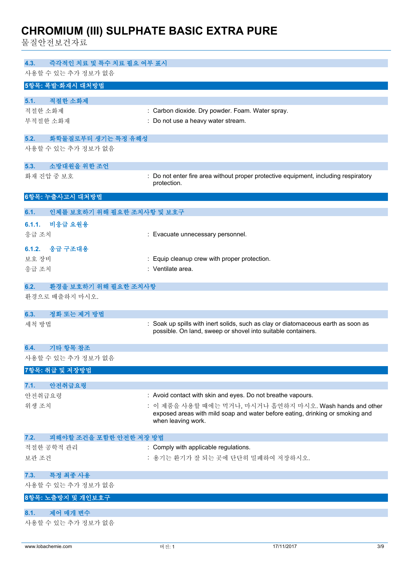물질안전보건자료

| 즉각적인 치료 및 특수 치료 필요 여부 표시<br>4.3.                 |                                                                                                                                                   |
|--------------------------------------------------|---------------------------------------------------------------------------------------------------------------------------------------------------|
| 사용할 수 있는 추가 정보가 없음                               |                                                                                                                                                   |
| 5항목: 폭발·화재시 대처방법                                 |                                                                                                                                                   |
| 적절한 소화제<br>5.1.                                  |                                                                                                                                                   |
| 적절한 소화제                                          | : Carbon dioxide. Dry powder. Foam. Water spray.                                                                                                  |
| 부적절한 소화재                                         | : Do not use a heavy water stream.                                                                                                                |
|                                                  |                                                                                                                                                   |
| 화학물질로부터 생기는 특정 유해성<br>5.2.<br>사용할 수 있는 추가 정보가 없음 |                                                                                                                                                   |
|                                                  |                                                                                                                                                   |
| 소방대원을 위한 조언<br>5.3.                              |                                                                                                                                                   |
| 화재 진압 중 보호                                       | : Do not enter fire area without proper protective equipment, including respiratory<br>protection.                                                |
| 6항목: 누출사고시 대처방법                                  |                                                                                                                                                   |
| 인체를 보호하기 위해 필요한 조치사항 및 보호구<br>6.1.               |                                                                                                                                                   |
| 6.1.1.<br>비응급 요원용                                |                                                                                                                                                   |
| 응급 조치                                            | : Evacuate unnecessary personnel.                                                                                                                 |
| 응급 구조대용<br>6.1.2.                                |                                                                                                                                                   |
| 보호 장비                                            | : Equip cleanup crew with proper protection.                                                                                                      |
| 응급 조치                                            | : Ventilate area.                                                                                                                                 |
|                                                  |                                                                                                                                                   |
| 환경을 보호하기 위해 필요한 조치사항<br>6.2.                     |                                                                                                                                                   |
| 환경으로 배출하지 마시오.                                   |                                                                                                                                                   |
| 정화 또는 제거 방법<br>6.3.                              |                                                                                                                                                   |
| 세척 방법                                            | : Soak up spills with inert solids, such as clay or diatomaceous earth as soon as<br>possible. On land, sweep or shovel into suitable containers. |
| 기타 항목 참조<br>6.4.                                 |                                                                                                                                                   |
| 사용할 수 있는 추가 정보가 없음                               |                                                                                                                                                   |
| 7항목: 취급 및 저장방법                                   |                                                                                                                                                   |
|                                                  |                                                                                                                                                   |
| 안전취급요령<br>7.1.<br>안전취급요령                         | : Avoid contact with skin and eyes. Do not breathe vapours.                                                                                       |
| 위생 조치                                            | : 이 제품을 사용할 때에는 먹거나, 마시거나 흡연하지 마시오. Wash hands and other                                                                                          |
|                                                  | exposed areas with mild soap and water before eating, drinking or smoking and                                                                     |
|                                                  | when leaving work.                                                                                                                                |
| 피해야할 조건을 포함한 안전한 저장 방법<br>7.2.                   |                                                                                                                                                   |
| 적절한 공학적 관리                                       | : Comply with applicable regulations.                                                                                                             |
| 보관 조건                                            | : 용기는 환기가 잘 되는 곳에 단단히 밀폐하여 저장하시오.                                                                                                                 |
| 특정 최종 사용<br>7.3.                                 |                                                                                                                                                   |
| 사용할 수 있는 추가 정보가 없음                               |                                                                                                                                                   |
| 8항목: 노출방지 및 개인보호구                                |                                                                                                                                                   |
|                                                  |                                                                                                                                                   |
| 제어 매개 변수<br>8.1.<br>사용할 수 있는 추가 정보가 없음           |                                                                                                                                                   |
|                                                  |                                                                                                                                                   |
|                                                  |                                                                                                                                                   |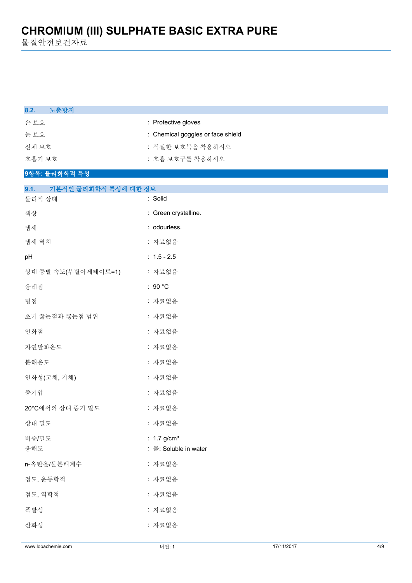물질안전보건자료

| 8.2.<br>노출방지                 |                                                    |
|------------------------------|----------------------------------------------------|
| 손보호                          | : Protective gloves                                |
| 눈보호                          | : Chemical goggles or face shield                  |
| 신체 보호                        | : 적절한 보호복을 착용하시오                                   |
| 호흡기 보호                       | : 호흡 보호구를 착용하시오                                    |
| 9항목: 물리화학적 특성                |                                                    |
| 기본적인 물리화학적 특성에 대한 정보<br>9.1. |                                                    |
| 물리적 상태                       | : Solid                                            |
| 색상                           | : Green crystalline.                               |
| 냄새                           | : odourless.                                       |
| 냄새 역치                        | : 자료없음                                             |
| pH                           | $: 1.5 - 2.5$                                      |
| 상대 증발 속도(부틸아세테이트=1)          | : 자료없음                                             |
| 융해점                          | : 90 $^{\circ}$ C                                  |
| 빙점                           | : 자료없음                                             |
| 초기 끓는점과 끓는점 범위               | : 자료없음                                             |
| 인화점                          | : 자료없음                                             |
| 자연발화온도                       | : 자료없음                                             |
| 분해온도                         | : 자료없음                                             |
| 인화성(고체, 기체)                  | : 자료없음                                             |
| 증기압                          | : 자료없음                                             |
| 20°C에서의 상대 증기 밀도             | : 자료없음                                             |
| 상대 밀도                        | : 자료없음                                             |
| 비중/밀도<br>용해도                 | : $1.7$ g/cm <sup>3</sup><br>: 물: Soluble in water |
| n-옥탄올/물분배계수                  | : 자료없음                                             |
| 점도, 운동학적                     | : 자료없음                                             |
| 점도, 역학적                      | : 자료없음                                             |
| 폭발성                          | : 자료없음                                             |
| 산화성                          | : 자료없음                                             |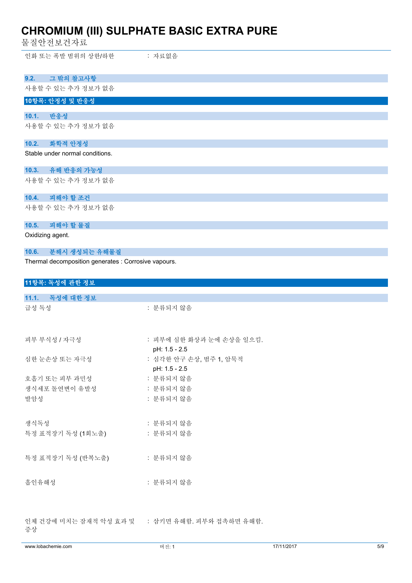물질안전보건자료

인화 또는 폭발 범위의 상한/하한 : 자료없음

| 9.2.             | 그 밖의 참고사항                                            |
|------------------|------------------------------------------------------|
|                  | 사용할 수 있는 추가 정보가 없음                                   |
|                  | 10항목: 안정성 및 반응성                                      |
| 10.1.            | 반응성                                                  |
|                  | 사용할 수 있는 추가 정보가 없음                                   |
| 10.2.            | 화학적 안정성                                              |
|                  | Stable under normal conditions.                      |
| 10.3.            | 유해 반응의 가능성                                           |
|                  | 사용할 수 있는 추가 정보가 없음                                   |
| 10.4.            | 피해야 할 조건                                             |
|                  | 사용할 수 있는 추가 정보가 없음                                   |
| 10.5.            | 피해야 할 물질                                             |
| Oxidizing agent. |                                                      |
| 10.6.            | 분해시 생성되는 유해물질                                        |
|                  | Thermal decomposition generates : Corrosive vapours. |
|                  | 11항목: 독성에 관한 정보                                      |
|                  | 11.1. 독성에 대한 정보                                      |
| 그서 도서            | • 브르디기 아 이                                           |

| 급성 독성             | : 분류되지 않음                               |
|-------------------|-----------------------------------------|
| 피부 부식성 / 자극성      | : 피부에 심한 화상과 눈에 손상을 일으킴.                |
| 심한 눈손상 또는 자극성     | pH: 1.5 - 2.5<br>: 심각한 안구 손상, 범주 1, 암묵적 |
|                   | pH: 1.5 - 2.5                           |
| 호흡기 또는 피부 과민성     | : 분류되지 않음                               |
| 생식세포 돌연변이 유발성     | : 분류되지 않음                               |
| 발암성               | : 분류되지 않음                               |
|                   |                                         |
| 생식독성              | : 분류되지 않음                               |
| 특정 표적장기 독성 (1회노출) | : 분류되지 않음                               |
|                   |                                         |
| 특정 표적장기 독성 (반복노출) | : 분류되지 않음                               |
|                   |                                         |
| 흡인유해성             | : 분류되지 않음                               |
|                   |                                         |
|                   |                                         |
|                   |                                         |
| 증상                |                                         |
|                   |                                         |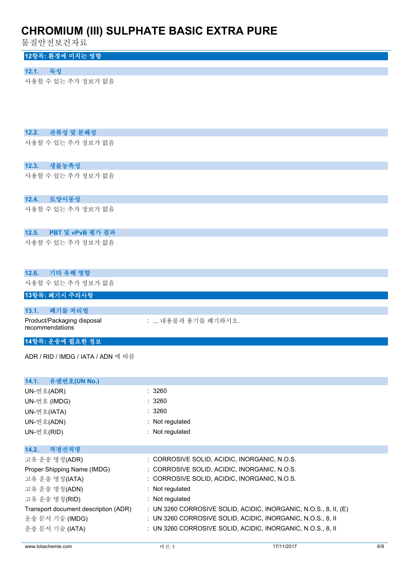물질안전보건자료

#### **12항목: 환경에 미치는 영향**

#### **12.1. 독성**

사용할 수 있는 추가 정보가 없음

#### **12.2. 잔류성 및 분해성**

사용할 수 있는 추가 정보가 없음

#### **12.3. 생물농축성**

사용할 수 있는 추가 정보가 없음

#### **12.4. 토양이동성**

사용할 수 있는 추가 정보가 없음

#### **12.5. PBT 및 vPvB 평가 결과**

사용할 수 있는 추가 정보가 없음

### **12.6. 기타 유해 영향** 사용할 수 있는 추가 정보가 없음 **13항목: 폐기시 주의사항 13.1. 폐기물 처리법** Product/Packaging disposal recommendations : ... 내용물과 용기를 폐기하시오.

### **14항목: 운송에 필요한 정보**

ADR / RID / IMDG / IATA / ADN 에 따름

| 14.1. 유엔번호(UN No.)                   |                                                                    |
|--------------------------------------|--------------------------------------------------------------------|
| UN-번호(ADR)                           | : 3260                                                             |
| UN-번호 (IMDG)                         | :3260                                                              |
| UN-번호(IATA)                          | : 3260                                                             |
| UN-번호(ADN)                           | $:$ Not regulated                                                  |
| UN-번호(RID)                           | : Not regulated                                                    |
|                                      |                                                                    |
| 적정선적명<br>14.2.                       |                                                                    |
| 고유 운송 명칭(ADR)                        | : CORROSIVE SOLID, ACIDIC, INORGANIC, N.O.S.                       |
| Proper Shipping Name (IMDG)          | : CORROSIVE SOLID, ACIDIC, INORGANIC, N.O.S.                       |
| 고유 운송 명칭(IATA)                       | : CORROSIVE SOLID, ACIDIC, INORGANIC, N.O.S.                       |
| 고유 운송 명칭(ADN)                        | $:$ Not regulated                                                  |
| 고유 운송 명칭(RID)                        | : Not regulated                                                    |
| Transport document description (ADR) | : UN 3260 CORROSIVE SOLID, ACIDIC, INORGANIC, N.O.S., 8, II, $(E)$ |
| 운송 문서 기술 (IMDG)                      | : UN 3260 CORROSIVE SOLID, ACIDIC, INORGANIC, N.O.S., 8, II        |
| 운송 문서 기술 (IATA)                      | : UN 3260 CORROSIVE SOLID, ACIDIC, INORGANIC, N.O.S., 8, II        |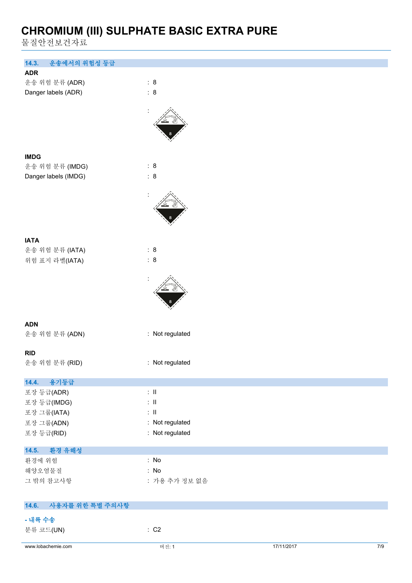물질안전보건자료

| 운송에서의 위험성 등급<br>14.3.                                                                                                                                                            |                                                                                                                                              |            |       |
|----------------------------------------------------------------------------------------------------------------------------------------------------------------------------------|----------------------------------------------------------------------------------------------------------------------------------------------|------------|-------|
| <b>ADR</b>                                                                                                                                                                       |                                                                                                                                              |            |       |
| 운송 위험 분류 (ADR)                                                                                                                                                                   | : 8<br>: 8                                                                                                                                   |            |       |
| Danger labels (ADR)                                                                                                                                                              |                                                                                                                                              |            |       |
|                                                                                                                                                                                  |                                                                                                                                              |            |       |
|                                                                                                                                                                                  |                                                                                                                                              |            |       |
|                                                                                                                                                                                  |                                                                                                                                              |            |       |
|                                                                                                                                                                                  |                                                                                                                                              |            |       |
| <b>IMDG</b>                                                                                                                                                                      |                                                                                                                                              |            |       |
| 운송 위험 분류 (IMDG)                                                                                                                                                                  | : 8                                                                                                                                          |            |       |
| Danger labels (IMDG)                                                                                                                                                             | : 8                                                                                                                                          |            |       |
|                                                                                                                                                                                  |                                                                                                                                              |            |       |
|                                                                                                                                                                                  |                                                                                                                                              |            |       |
|                                                                                                                                                                                  |                                                                                                                                              |            |       |
|                                                                                                                                                                                  |                                                                                                                                              |            |       |
|                                                                                                                                                                                  |                                                                                                                                              |            |       |
| <b>IATA</b>                                                                                                                                                                      | : 8                                                                                                                                          |            |       |
|                                                                                                                                                                                  |                                                                                                                                              |            |       |
|                                                                                                                                                                                  |                                                                                                                                              |            |       |
|                                                                                                                                                                                  |                                                                                                                                              |            |       |
|                                                                                                                                                                                  |                                                                                                                                              |            |       |
|                                                                                                                                                                                  |                                                                                                                                              |            |       |
|                                                                                                                                                                                  |                                                                                                                                              |            |       |
| <b>ADN</b>                                                                                                                                                                       |                                                                                                                                              |            |       |
|                                                                                                                                                                                  |                                                                                                                                              |            |       |
|                                                                                                                                                                                  |                                                                                                                                              |            |       |
|                                                                                                                                                                                  |                                                                                                                                              |            |       |
|                                                                                                                                                                                  |                                                                                                                                              |            |       |
| 용기등급<br>14.4.                                                                                                                                                                    |                                                                                                                                              |            |       |
| 포장 등급(ADR)                                                                                                                                                                       | $\lesssim 11$                                                                                                                                |            |       |
|                                                                                                                                                                                  |                                                                                                                                              |            |       |
|                                                                                                                                                                                  |                                                                                                                                              |            |       |
|                                                                                                                                                                                  |                                                                                                                                              |            |       |
|                                                                                                                                                                                  |                                                                                                                                              |            |       |
| 14.5.<br>환경 유해성                                                                                                                                                                  |                                                                                                                                              |            |       |
| 환경에 위험                                                                                                                                                                           | : No                                                                                                                                         |            |       |
| 해양오염물질                                                                                                                                                                           | : No                                                                                                                                         |            |       |
|                                                                                                                                                                                  |                                                                                                                                              |            |       |
|                                                                                                                                                                                  |                                                                                                                                              |            |       |
| 사용자를 위한 특별 주의사항<br>14.6.                                                                                                                                                         |                                                                                                                                              |            |       |
| - 내륙 수송                                                                                                                                                                          |                                                                                                                                              |            |       |
| 분류 코드(UN)                                                                                                                                                                        | $\therefore$ C2                                                                                                                              |            |       |
|                                                                                                                                                                                  |                                                                                                                                              |            |       |
| 운송 위험 분류 (IATA)<br>위험 표지 라벨(IATA)<br>운송 위험 분류 (ADN)<br><b>RID</b><br>운송 위험 분류 (RID)<br>포장 등급(IMDG)<br>포장 그룹(IATA)<br>포장 그룹(ADN)<br>포장 등급(RID)<br>그 밖의 참고사항<br>www.lobachemie.com | : 8<br>: Not regulated<br>: Not regulated<br>$\lesssim 11$<br>$\therefore$ H<br>: Not regulated<br>: Not regulated<br>: 가용 추가 정보 없음<br>버전: 1 | 17/11/2017 | $7/9$ |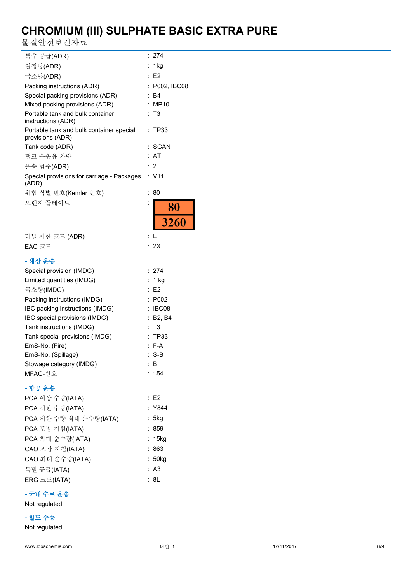물질안전보건자료

| 특수 공급(ADR)                                                   | 274<br>÷             |
|--------------------------------------------------------------|----------------------|
| 일정량(ADR)                                                     | 1kg                  |
| 극소량(ADR)                                                     | E <sub>2</sub><br>÷. |
| Packing instructions (ADR)                                   | P002, IBC08          |
| Special packing provisions (ADR)                             | B4<br>÷.             |
| Mixed packing provisions (ADR)                               | ÷<br>MP10            |
| Portable tank and bulk container<br>instructions (ADR)       | : T3                 |
| Portable tank and bulk container special<br>provisions (ADR) | TP33<br>÷            |
| Tank code (ADR)                                              | SGAN                 |
| 탱크 수송용 차량                                                    | AT                   |
| 운송 범주(ADR)                                                   | 2<br>÷.              |
| Special provisions for carriage - Packages<br>(ADR)          | : V11                |
| 위험 식별 번호(Kemler 번호)                                          | $\ddot{\cdot}$<br>80 |
| 오렌지 플레이트                                                     |                      |
|                                                              | $\frac{80}{3260}$    |
| 터널 제한 코드 (ADR)                                               | Е<br>÷               |
| EAC 코드                                                       | 2X<br>÷              |
| - 해상 운송                                                      |                      |
| Special provision (IMDG)                                     | : 274                |
| Limited quantities (IMDG)                                    | : $1$ kg             |
| 극소량(IMDG)                                                    | E <sub>2</sub>       |
| Packing instructions (IMDG)                                  | P002                 |
| IBC packing instructions (IMDG)                              | IBC08                |
| IBC special provisions (IMDG)                                | : B2, B4             |
| Tank instructions (IMDG)                                     | T3                   |
| Tank special provisions (IMDG)                               | TP33<br>t            |
| EmS-No. (Fire)                                               | ÷<br>F-A             |
| EmS-No. (Spillage)                                           | $S-B$<br>÷           |
| Stowage category (IMDG)                                      | ÷.<br>В              |
| MFAG-번호                                                      | 154<br>t.            |
| - 항공 운송                                                      |                      |
| PCA 예상 수량(IATA)                                              | $\therefore$ E2      |
| PCA 제한 수량(IATA)                                              | : Y844               |
| PCA 제한 수량 최대 순수량(IATA)                                       | : 5kg                |
| PCA 포장 지침(IATA)                                              | 859                  |
| PCA 최대 순수량(IATA)                                             | : 15kg               |
| CAO 포장 지침(IATA)                                              | :863                 |
| CAO 최대 순수량(IATA)                                             | : 50kg               |
| 특별 공급(IATA)                                                  | A <sub>3</sub><br>÷. |
| ERG 코드(IATA)                                                 | 8L                   |

#### **- 국내 수로 운송**

Not regulated

#### **- 철도 수송**

Not regulated